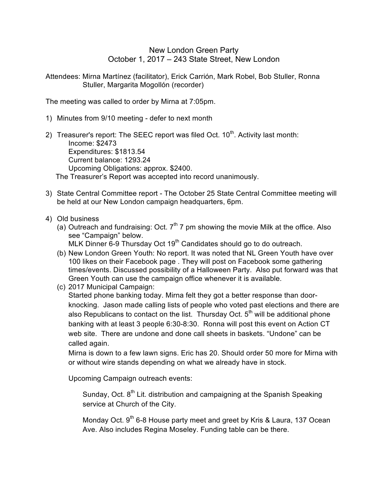## New London Green Party October 1, 2017 – 243 State Street, New London

Attendees: Mirna Martínez (facilitator), Erick Carrión, Mark Robel, Bob Stuller, Ronna Stuller, Margarita Mogollón (recorder)

The meeting was called to order by Mirna at 7:05pm.

- 1) Minutes from 9/10 meeting defer to next month
- 2) Treasurer's report: The SEEC report was filed Oct.  $10<sup>th</sup>$ . Activity last month: Income: \$2473 Expenditures: \$1813.54 Current balance: 1293.24 Upcoming Obligations: approx. \$2400. The Treasurer's Report was accepted into record unanimously.
- 3) State Central Committee report The October 25 State Central Committee meeting will be held at our New London campaign headquarters, 6pm.
- 4) Old business
	- (a) Outreach and fundraising: Oct.  $7<sup>th</sup>$  7 pm showing the movie Milk at the office. Also see "Campaign" below. MLK Dinner 6-9 Thursday Oct 19<sup>th</sup> Candidates should go to do outreach.
	- (b) New London Green Youth: No report. It was noted that NL Green Youth have over 100 likes on their Facebook page . They will post on Facebook some gathering times/events. Discussed possibility of a Halloween Party. Also put forward was that Green Youth can use the campaign office whenever it is available.
	- (c) 2017 Municipal Campaign: Started phone banking today. Mirna felt they got a better response than doorknocking. Jason made calling lists of people who voted past elections and there are also Republicans to contact on the list. Thursday Oct.  $5<sup>th</sup>$  will be additional phone banking with at least 3 people 6:30-8:30. Ronna will post this event on Action CT web site. There are undone and done call sheets in baskets. "Undone" can be called again.

Mirna is down to a few lawn signs. Eric has 20. Should order 50 more for Mirna with or without wire stands depending on what we already have in stock.

Upcoming Campaign outreach events:

Sunday, Oct.  $8<sup>th</sup>$  Lit. distribution and campaigning at the Spanish Speaking service at Church of the City.

Monday Oct. 9<sup>th</sup> 6-8 House party meet and greet by Kris & Laura, 137 Ocean Ave. Also includes Regina Moseley. Funding table can be there.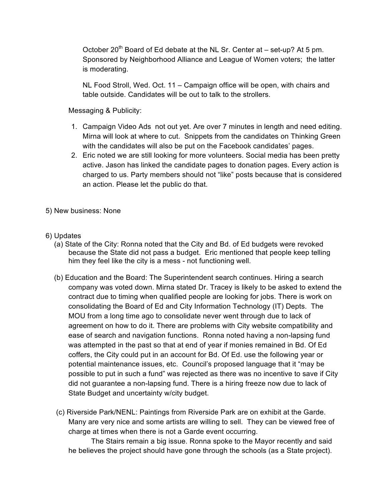October 20<sup>th</sup> Board of Ed debate at the NL Sr. Center at  $-$  set-up? At 5 pm. Sponsored by Neighborhood Alliance and League of Women voters; the latter is moderating.

NL Food Stroll, Wed. Oct. 11 – Campaign office will be open, with chairs and table outside. Candidates will be out to talk to the strollers.

Messaging & Publicity:

- 1. Campaign Video Ads not out yet. Are over 7 minutes in length and need editing. Mirna will look at where to cut. Snippets from the candidates on Thinking Green with the candidates will also be put on the Facebook candidates' pages.
- 2. Eric noted we are still looking for more volunteers. Social media has been pretty active. Jason has linked the candidate pages to donation pages. Every action is charged to us. Party members should not "like" posts because that is considered an action. Please let the public do that.
- 5) New business: None
- 6) Updates
	- (a) State of the City: Ronna noted that the City and Bd. of Ed budgets were revoked because the State did not pass a budget. Eric mentioned that people keep telling him they feel like the city is a mess - not functioning well.
	- (b) Education and the Board: The Superintendent search continues. Hiring a search company was voted down. Mirna stated Dr. Tracey is likely to be asked to extend the contract due to timing when qualified people are looking for jobs. There is work on consolidating the Board of Ed and City Information Technology (IT) Depts. The MOU from a long time ago to consolidate never went through due to lack of agreement on how to do it. There are problems with City website compatibility and ease of search and navigation functions. Ronna noted having a non-lapsing fund was attempted in the past so that at end of year if monies remained in Bd. Of Ed coffers, the City could put in an account for Bd. Of Ed. use the following year or potential maintenance issues, etc. Council's proposed language that it "may be possible to put in such a fund" was rejected as there was no incentive to save if City did not guarantee a non-lapsing fund. There is a hiring freeze now due to lack of State Budget and uncertainty w/city budget.
	- (c) Riverside Park/NENL: Paintings from Riverside Park are on exhibit at the Garde. Many are very nice and some artists are willing to sell. They can be viewed free of charge at times when there is not a Garde event occurring.

The Stairs remain a big issue. Ronna spoke to the Mayor recently and said he believes the project should have gone through the schools (as a State project).